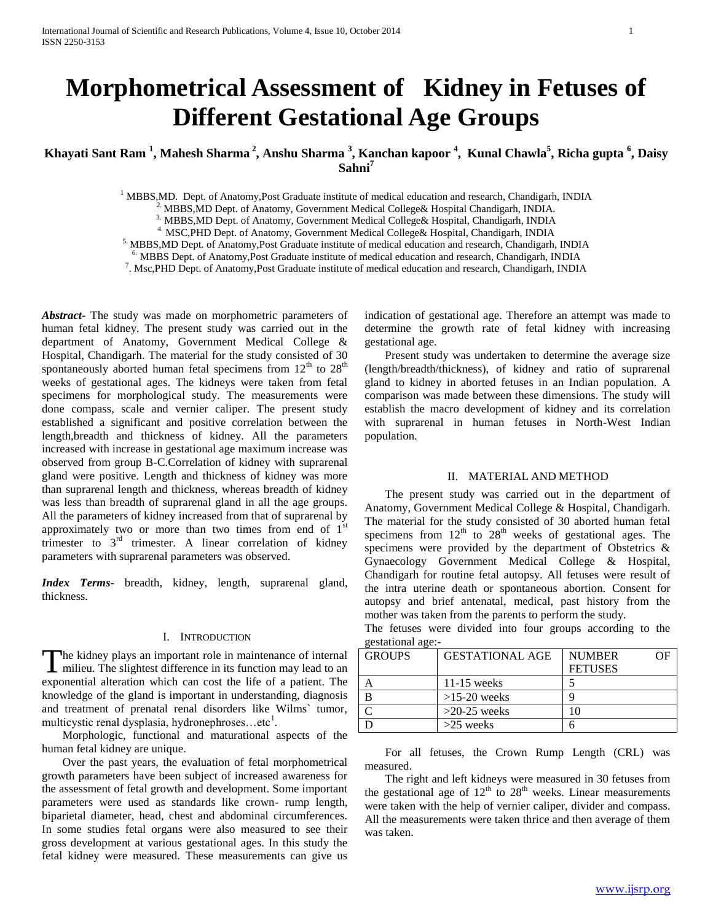# **Morphometrical Assessment of Kidney in Fetuses of Different Gestational Age Groups**

**Khayati Sant Ram <sup>1</sup> , Mahesh Sharma <sup>2</sup> , Anshu Sharma <sup>3</sup> , Kanchan kapoor <sup>4</sup> , Kunal Chawla<sup>5</sup> , Richa gupta <sup>6</sup> , Daisy Sahni<sup>7</sup>**

 $<sup>1</sup> MBBS, MD$ . Dept. of Anatomy, Post Graduate institute of medical education and research, Chandigarh, INDIA</sup>

 $^{2}$  MBBS, MD Dept. of Anatomy, Government Medical College& Hospital Chandigarh, INDIA.

3. MBBS,MD Dept. of Anatomy, Government Medical College& Hospital, Chandigarh, INDIA

4. MSC,PHD Dept. of Anatomy, Government Medical College& Hospital, Chandigarh, INDIA

5. MBBS,MD Dept. of Anatomy,Post Graduate institute of medical education and research, Chandigarh, INDIA

6. MBBS Dept. of Anatomy,Post Graduate institute of medical education and research, Chandigarh, INDIA

7 . Msc,PHD Dept. of Anatomy,Post Graduate institute of medical education and research, Chandigarh, INDIA

*Abstract***-** The study was made on morphometric parameters of human fetal kidney. The present study was carried out in the department of Anatomy, Government Medical College & Hospital, Chandigarh. The material for the study consisted of 30 spontaneously aborted human fetal specimens from  $12<sup>th</sup>$  to  $28<sup>th</sup>$ weeks of gestational ages. The kidneys were taken from fetal specimens for morphological study. The measurements were done compass, scale and vernier caliper. The present study established a significant and positive correlation between the length,breadth and thickness of kidney. All the parameters increased with increase in gestational age maximum increase was observed from group B-C.Correlation of kidney with suprarenal gland were positive. Length and thickness of kidney was more than suprarenal length and thickness, whereas breadth of kidney was less than breadth of suprarenal gland in all the age groups. All the parameters of kidney increased from that of suprarenal by approximately two or more than two times from end of  $1<sup>st</sup>$ trimester to  $3<sup>rd</sup>$  trimester. A linear correlation of kidney parameters with suprarenal parameters was observed.

*Index Terms*- breadth, kidney, length, suprarenal gland, thickness.

## I. INTRODUCTION

The kidney plays an important role in maintenance of internal The kidney plays an important role in maintenance of internal<br>milieu. The slightest difference in its function may lead to an exponential alteration which can cost the life of a patient. The knowledge of the gland is important in understanding, diagnosis and treatment of prenatal renal disorders like Wilms` tumor, multicystic renal dysplasia, hydronephroses...etc<sup>1</sup>.

 Morphologic, functional and maturational aspects of the human fetal kidney are unique.

 Over the past years, the evaluation of fetal morphometrical growth parameters have been subject of increased awareness for the assessment of fetal growth and development. Some important parameters were used as standards like crown- rump length, biparietal diameter, head, chest and abdominal circumferences. In some studies fetal organs were also measured to see their gross development at various gestational ages. In this study the fetal kidney were measured. These measurements can give us

indication of gestational age. Therefore an attempt was made to determine the growth rate of fetal kidney with increasing gestational age.

 Present study was undertaken to determine the average size (length/breadth/thickness), of kidney and ratio of suprarenal gland to kidney in aborted fetuses in an Indian population. A comparison was made between these dimensions. The study will establish the macro development of kidney and its correlation with suprarenal in human fetuses in North-West Indian population.

#### II. MATERIAL AND METHOD

 The present study was carried out in the department of Anatomy, Government Medical College & Hospital, Chandigarh. The material for the study consisted of 30 aborted human fetal specimens from  $12<sup>th</sup>$  to  $28<sup>th</sup>$  weeks of gestational ages. The specimens were provided by the department of Obstetrics & Gynaecology Government Medical College & Hospital, Chandigarh for routine fetal autopsy. All fetuses were result of the intra uterine death or spontaneous abortion. Consent for autopsy and brief antenatal, medical, past history from the mother was taken from the parents to perform the study.

The fetuses were divided into four groups according to the gestational age:-

| <b>GROUPS</b> | <b>GESTATIONAL AGE</b> | <b>NUMBER</b>  |
|---------------|------------------------|----------------|
|               |                        | <b>FETUSES</b> |
|               | $11-15$ weeks          |                |
|               | $>15-20$ weeks         |                |
|               | $>20-25$ weeks         |                |
|               | $>25$ weeks            |                |

 For all fetuses, the Crown Rump Length (CRL) was measured.

 The right and left kidneys were measured in 30 fetuses from the gestational age of  $12<sup>th</sup>$  to  $28<sup>th</sup>$  weeks. Linear measurements were taken with the help of vernier caliper, divider and compass. All the measurements were taken thrice and then average of them was taken.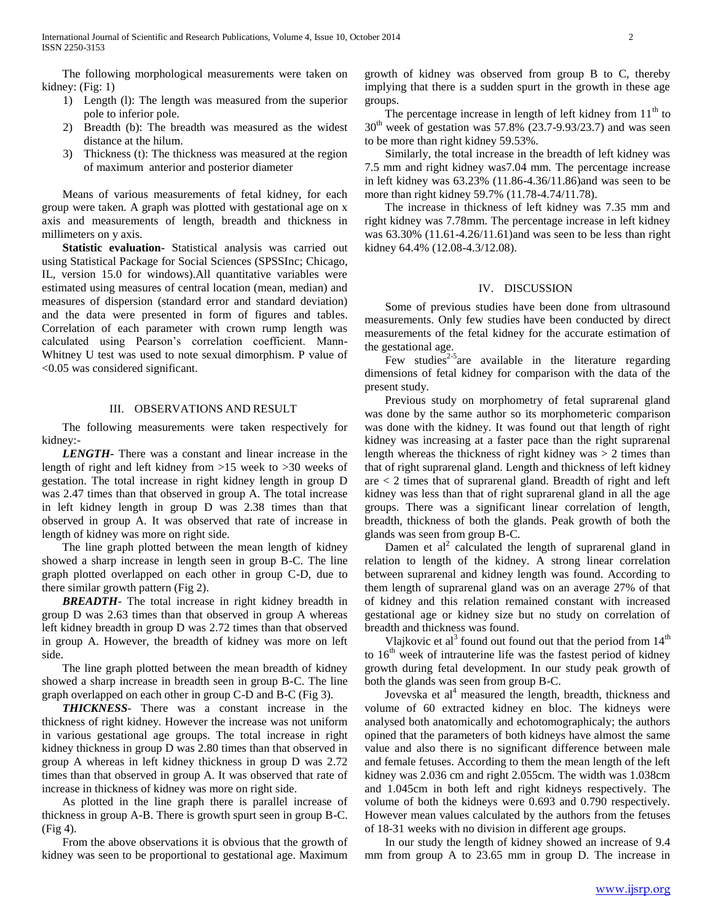The following morphological measurements were taken on kidney: (Fig: 1)

- 1) Length (l): The length was measured from the superior pole to inferior pole.
- 2) Breadth (b): The breadth was measured as the widest distance at the hilum.
- 3) Thickness (t): The thickness was measured at the region of maximum anterior and posterior diameter

 Means of various measurements of fetal kidney, for each group were taken. A graph was plotted with gestational age on x axis and measurements of length, breadth and thickness in millimeters on y axis.

 **Statistic evaluation-** Statistical analysis was carried out using Statistical Package for Social Sciences (SPSSInc; Chicago, IL, version 15.0 for windows).All quantitative variables were estimated using measures of central location (mean, median) and measures of dispersion (standard error and standard deviation) and the data were presented in form of figures and tables. Correlation of each parameter with crown rump length was calculated using Pearson's correlation coefficient. Mann-Whitney U test was used to note sexual dimorphism. P value of <0.05 was considered significant.

## III. OBSERVATIONS AND RESULT

 The following measurements were taken respectively for kidney:-

 *LENGTH-* There was a constant and linear increase in the length of right and left kidney from >15 week to >30 weeks of gestation. The total increase in right kidney length in group D was 2.47 times than that observed in group A. The total increase in left kidney length in group D was 2.38 times than that observed in group A. It was observed that rate of increase in length of kidney was more on right side.

 The line graph plotted between the mean length of kidney showed a sharp increase in length seen in group B-C. The line graph plotted overlapped on each other in group C-D, due to there similar growth pattern (Fig 2).

 *BREADTH*- The total increase in right kidney breadth in group D was 2.63 times than that observed in group A whereas left kidney breadth in group D was 2.72 times than that observed in group A. However, the breadth of kidney was more on left side.

 The line graph plotted between the mean breadth of kidney showed a sharp increase in breadth seen in group B-C. The line graph overlapped on each other in group C-D and B-C (Fig 3).

 *THICKNESS*- There was a constant increase in the thickness of right kidney. However the increase was not uniform in various gestational age groups. The total increase in right kidney thickness in group D was 2.80 times than that observed in group A whereas in left kidney thickness in group D was 2.72 times than that observed in group A. It was observed that rate of increase in thickness of kidney was more on right side.

 As plotted in the line graph there is parallel increase of thickness in group A-B. There is growth spurt seen in group B-C. (Fig 4).

 From the above observations it is obvious that the growth of kidney was seen to be proportional to gestational age. Maximum

growth of kidney was observed from group B to C, thereby implying that there is a sudden spurt in the growth in these age groups.

The percentage increase in length of left kidney from  $11<sup>th</sup>$  to  $30<sup>th</sup>$  week of gestation was 57.8% (23.7-9.93/23.7) and was seen to be more than right kidney 59.53%.

 Similarly, the total increase in the breadth of left kidney was 7.5 mm and right kidney was7.04 mm. The percentage increase in left kidney was 63.23% (11.86-4.36/11.86)and was seen to be more than right kidney 59.7% (11.78-4.74/11.78).

 The increase in thickness of left kidney was 7.35 mm and right kidney was 7.78mm. The percentage increase in left kidney was 63.30% (11.61-4.26/11.61)and was seen to be less than right kidney 64.4% (12.08-4.3/12.08).

# IV. DISCUSSION

 Some of previous studies have been done from ultrasound measurements. Only few studies have been conducted by direct measurements of the fetal kidney for the accurate estimation of the gestational age.

Few studies<sup>2-5</sup> are available in the literature regarding dimensions of fetal kidney for comparison with the data of the present study.

 Previous study on morphometry of fetal suprarenal gland was done by the same author so its morphometeric comparison was done with the kidney. It was found out that length of right kidney was increasing at a faster pace than the right suprarenal length whereas the thickness of right kidney was > 2 times than that of right suprarenal gland. Length and thickness of left kidney are < 2 times that of suprarenal gland. Breadth of right and left kidney was less than that of right suprarenal gland in all the age groups. There was a significant linear correlation of length, breadth, thickness of both the glands. Peak growth of both the glands was seen from group B-C.

Damen et  $al^2$  calculated the length of suprarenal gland in relation to length of the kidney. A strong linear correlation between suprarenal and kidney length was found. According to them length of suprarenal gland was on an average 27% of that of kidney and this relation remained constant with increased gestational age or kidney size but no study on correlation of breadth and thickness was found.

Vlajkovic et al<sup>3</sup> found out found out that the period from  $14<sup>th</sup>$ to  $16<sup>th</sup>$  week of intrauterine life was the fastest period of kidney growth during fetal development. In our study peak growth of both the glands was seen from group B-C.

Jovevska et  $al<sup>4</sup>$  measured the length, breadth, thickness and volume of 60 extracted kidney en bloc. The kidneys were analysed both anatomically and echotomographicaly; the authors opined that the parameters of both kidneys have almost the same value and also there is no significant difference between male and female fetuses. According to them the mean length of the left kidney was 2.036 cm and right 2.055cm. The width was 1.038cm and 1.045cm in both left and right kidneys respectively. The volume of both the kidneys were 0.693 and 0.790 respectively. However mean values calculated by the authors from the fetuses of 18-31 weeks with no division in different age groups.

 In our study the length of kidney showed an increase of 9.4 mm from group A to 23.65 mm in group D. The increase in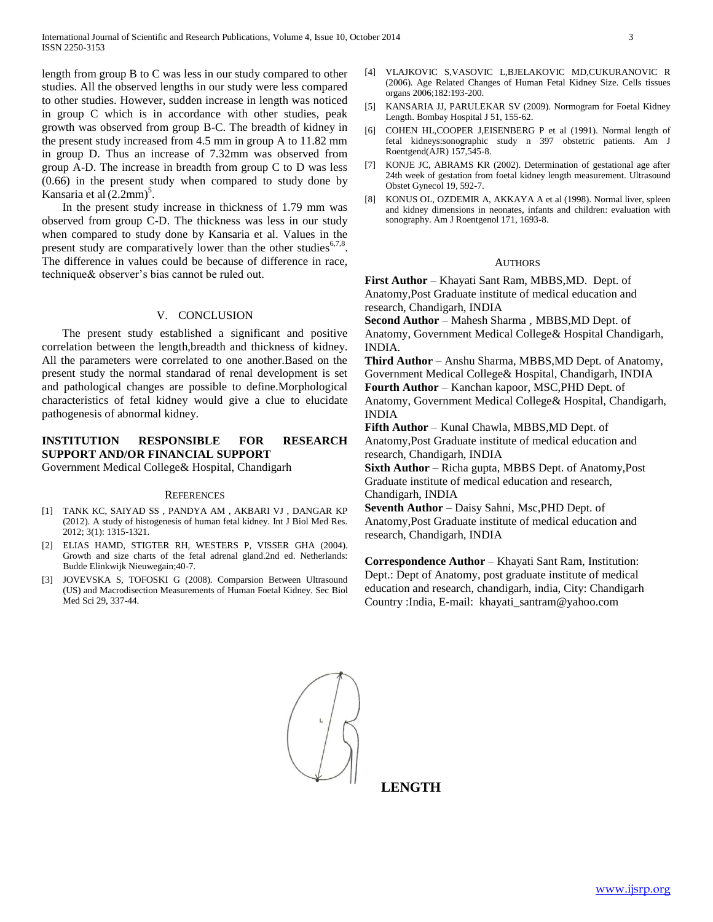length from group B to C was less in our study compared to other studies. All the observed lengths in our study were less compared to other studies. However, sudden increase in length was noticed in group C which is in accordance with other studies, peak growth was observed from group B-C. The breadth of kidney in the present study increased from 4.5 mm in group A to 11.82 mm in group D. Thus an increase of 7.32mm was observed from group A-D. The increase in breadth from group C to D was less (0.66) in the present study when compared to study done by Kansaria et al  $(2.2 \text{mm})^5$ .

 In the present study increase in thickness of 1.79 mm was observed from group C-D. The thickness was less in our study when compared to study done by Kansaria et al. Values in the present study are comparatively lower than the other studies $67,8$ . The difference in values could be because of difference in race, technique& observer's bias cannot be ruled out.

## V. CONCLUSION

 The present study established a significant and positive correlation between the length,breadth and thickness of kidney. All the parameters were correlated to one another.Based on the present study the normal standarad of renal development is set and pathological changes are possible to define.Morphological characteristics of fetal kidney would give a clue to elucidate pathogenesis of abnormal kidney.

# **INSTITUTION RESPONSIBLE FOR RESEARCH SUPPORT AND/OR FINANCIAL SUPPORT**

Government Medical College& Hospital, Chandigarh

#### **REFERENCES**

- [1] TANK KC, SAIYAD SS , PANDYA AM , AKBARI VJ , DANGAR KP (2012). A study of histogenesis of human fetal kidney. Int J Biol Med Res. 2012; 3(1): 1315-1321.
- [2] ELIAS HAMD, STIGTER RH, WESTERS P, VISSER GHA (2004). Growth and size charts of the fetal adrenal gland.2nd ed. Netherlands: Budde Elinkwijk Nieuwegain;40-7.
- [3] JOVEVSKA S, TOFOSKI G (2008). Comparsion Between Ultrasound (US) and Macrodisection Measurements of Human Foetal Kidney. Sec Biol Med Sci 29, 337-44.
- [4] VLAJKOVIC S,VASOVIC L,BJELAKOVIC MD,CUKURANOVIC R (2006). Age Related Changes of Human Fetal Kidney Size. Cells tissues organs 2006;182:193-200.
- [5] KANSARIA JJ, PARULEKAR SV (2009). Normogram for Foetal Kidney Length. Bombay Hospital J 51, 155-62.
- [6] COHEN HL,COOPER J,EISENBERG P et al (1991). Normal length of fetal kidneys:sonographic study n 397 obstetric patients. Am J Roentgend(AJR) 157,545-8.
- [7] KONJE JC, ABRAMS KR (2002). Determination of gestational age after 24th week of gestation from foetal kidney length measurement. Ultrasound Obstet Gynecol 19, 592-7.
- [8] KONUS OL, OZDEMIR A, AKKAYA A et al (1998). Normal liver, spleen and kidney dimensions in neonates, infants and children: evaluation with sonography. Am J Roentgenol 171, 1693-8.

#### AUTHORS

**First Author** – Khayati Sant Ram, MBBS,MD. Dept. of Anatomy,Post Graduate institute of medical education and research, Chandigarh, INDIA

**Second Author** – Mahesh Sharma , MBBS,MD Dept. of Anatomy, Government Medical College& Hospital Chandigarh, INDIA.

**Third Author** – Anshu Sharma, MBBS,MD Dept. of Anatomy, Government Medical College& Hospital, Chandigarh, INDIA **Fourth Author** – Kanchan kapoor, MSC,PHD Dept. of Anatomy, Government Medical College& Hospital, Chandigarh, INDIA

**Fifth Author** – Kunal Chawla, MBBS,MD Dept. of Anatomy,Post Graduate institute of medical education and research, Chandigarh, INDIA

**Sixth Author** – Richa gupta, MBBS Dept. of Anatomy,Post Graduate institute of medical education and research, Chandigarh, INDIA

**Seventh Author** – Daisy Sahni, Msc,PHD Dept. of Anatomy,Post Graduate institute of medical education and research, Chandigarh, INDIA

**Correspondence Author** – Khayati Sant Ram, Institution: Dept.: Dept of Anatomy, post graduate institute of medical education and research, chandigarh, india, City: Chandigarh Country :India, E-mail: khayati\_santram@yahoo.com



**LENGTH**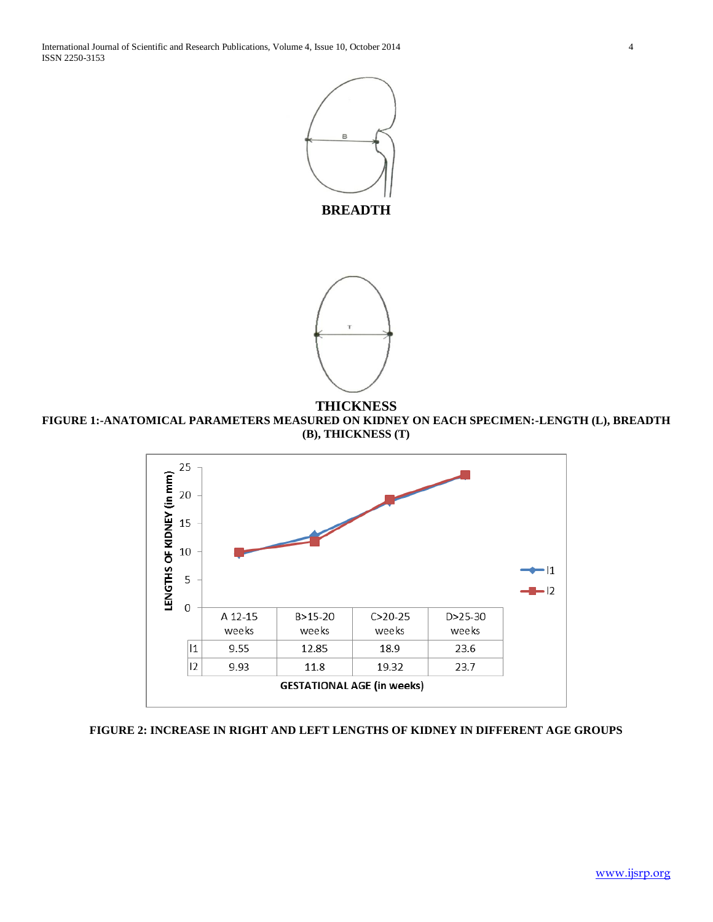



**THICKNESS FIGURE 1:-ANATOMICAL PARAMETERS MEASURED ON KIDNEY ON EACH SPECIMEN:-LENGTH (L), BREADTH (B), THICKNESS (T)**